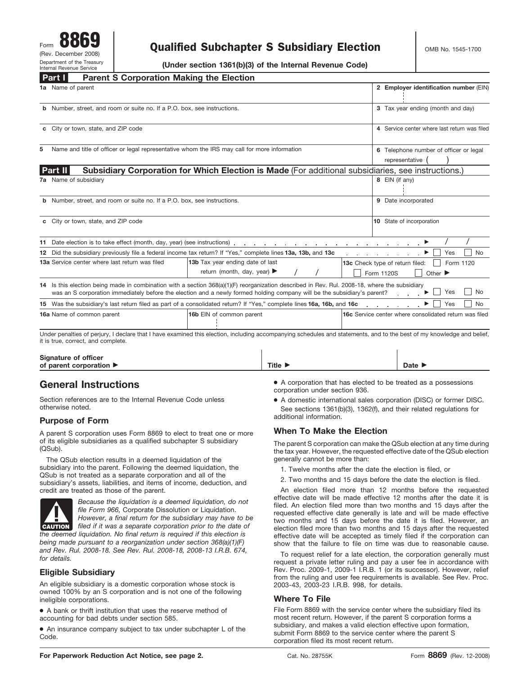# $\begin{array}{c|c|c|c} \hline \text{Form} & \text{OOD3} & \text{Qualified Subchapter S Subsidiary Electron} & \text{OMS No. 1545-1700} \end{array}$

**(Under section 1361(b)(3) of the Internal Revenue Code)**

|   | <b>Parent S Corporation Making the Election</b><br><b>Part I</b>                                                                                                                                                                                                          |                                                                                                    |                         |  |                                                                                           |     |           |  |
|---|---------------------------------------------------------------------------------------------------------------------------------------------------------------------------------------------------------------------------------------------------------------------------|----------------------------------------------------------------------------------------------------|-------------------------|--|-------------------------------------------------------------------------------------------|-----|-----------|--|
|   | 1a Name of parent                                                                                                                                                                                                                                                         |                                                                                                    |                         |  | 2 Employer identification number (EIN)                                                    |     |           |  |
|   | <b>b</b> Number, street, and room or suite no. If a P.O. box, see instructions.                                                                                                                                                                                           |                                                                                                    |                         |  | 3 Tax year ending (month and day)                                                         |     |           |  |
|   | c City or town, state, and ZIP code                                                                                                                                                                                                                                       |                                                                                                    |                         |  | 4 Service center where last return was filed                                              |     |           |  |
| 5 | Name and title of officer or legal representative whom the IRS may call for more information                                                                                                                                                                              |                                                                                                    |                         |  | 6 Telephone number of officer or legal<br>representative                                  |     |           |  |
|   | <b>Part II</b>                                                                                                                                                                                                                                                            | Subsidiary Corporation for Which Election is Made (For additional subsidiaries, see instructions.) |                         |  |                                                                                           |     |           |  |
|   | 7a Name of subsidiary                                                                                                                                                                                                                                                     |                                                                                                    |                         |  | 8 EIN (if any)                                                                            |     |           |  |
|   | <b>b</b> Number, street, and room or suite no. If a P.O. box, see instructions.                                                                                                                                                                                           |                                                                                                    | 9 Date incorporated     |  |                                                                                           |     |           |  |
|   | c City or town, state, and ZIP code                                                                                                                                                                                                                                       |                                                                                                    |                         |  | 10 State of incorporation                                                                 |     |           |  |
|   | 11 Date election is to take effect (month, day, year) (see instructions) example and the set of the set of the set of the set of the set of the set of the set of the set of the set of the set of the set of the set of the s                                            |                                                                                                    |                         |  |                                                                                           |     |           |  |
|   | 12 Did the subsidiary previously file a federal income tax return? If "Yes," complete lines 13a, 13b, and 13c                                                                                                                                                             |                                                                                                    |                         |  | a na manana na manana P                                                                   | Yes | <b>No</b> |  |
|   | 13a Service center where last return was filed                                                                                                                                                                                                                            | 13b Tax year ending date of last<br>return (month, day, year) $\blacktriangleright$                |                         |  | 13c Check type of return filed:<br>Form 1120<br>Form 1120S<br>Other $\blacktriangleright$ |     |           |  |
|   | 14 Is this election being made in combination with a section 368(a)(1)(F) reorganization described in Rev. Rul. 2008-18, where the subsidiary<br>was an S corporation immediately before the election and a newly formed holding company will be the subsidiary's parent? |                                                                                                    |                         |  | and a state                                                                               | Yes | No        |  |
|   | 15 Was the subsidiary's last return filed as part of a consolidated return? If "Yes," complete lines 16a, 16b, and 16c                                                                                                                                                    |                                                                                                    |                         |  |                                                                                           | Yes | No.       |  |
|   | 16a Name of common parent                                                                                                                                                                                                                                                 | 16b EIN of common parent                                                                           |                         |  | 16c Service center where consolidated return was filed                                    |     |           |  |
|   | .                                                                                                                                                                                                                                                                         |                                                                                                    | $\cdot$ $\cdot$ $\cdot$ |  |                                                                                           |     |           |  |

Under penalties of perjury, I declare that I have examined this election, including accompanying schedules and statements, and to the best of my knowledge and belief, it is true, correct, and complete.

#### **Signature of officer** of parent corporation  $\blacktriangleright$ **Title** © **Date** ©

# **General Instructions**

Section references are to the Internal Revenue Code unless otherwise noted.

## **Purpose of Form**

A parent S corporation uses Form 8869 to elect to treat one or more of its eligible subsidiaries as a qualified subchapter S subsidiary (QSub).

The QSub election results in a deemed liquidation of the subsidiary into the parent. Following the deemed liquidation, the QSub is not treated as a separate corporation and all of the subsidiary's assets, liabilities, and items of income, deduction, and credit are treated as those of the parent.



*Because the liquidation is a deemed liquidation, do not file Form 966,* Corporate Dissolution or Liquidation. *However, a final return for the subsidiary may have to be filed if it was a separate corporation prior to the date of*

*the deemed liquidation. No final return is required if this election is being made pursuant to a reorganization under section 368(a)(1)(F) and Rev. Rul. 2008-18. See Rev. Rul. 2008-18, 2008-13 I.R.B. 674, for details.*

### **Eligible Subsidiary**

An eligible subsidiary is a domestic corporation whose stock is owned 100% by an S corporation and is not one of the following ineligible corporations.

● A bank or thrift institution that uses the reserve method of accounting for bad debts under section 585.

● An insurance company subject to tax under subchapter L of the Code.

● A corporation that has elected to be treated as a possessions corporation under section 936.

A domestic international sales corporation (DISC) or former DISC. See sections 1361(b)(3), 1362(f), and their related regulations for additional information.

## **When To Make the Election**

The parent S corporation can make the QSub election at any time during the tax year. However, the requested effective date of the QSub election generally cannot be more than:

- 1. Twelve months after the date the election is filed, or
- 2. Two months and 15 days before the date the election is filed.

An election filed more than 12 months before the requested effective date will be made effective 12 months after the date it is filed. An election filed more than two months and 15 days after the requested effective date generally is late and will be made effective two months and 15 days before the date it is filed. However, an election filed more than two months and 15 days after the requested effective date will be accepted as timely filed if the corporation can show that the failure to file on time was due to reasonable cause.

To request relief for a late election, the corporation generally must request a private letter ruling and pay a user fee in accordance with Rev. Proc. 2009-1, 2009-1 I.R.B. 1 (or its successor). However, relief from the ruling and user fee requirements is available. See Rev. Proc. 2003-43, 2003-23 I.R.B. 998, for details.

### **Where To File**

File Form 8869 with the service center where the subsidiary filed its most recent return. However, if the parent S corporation forms a subsidiary, and makes a valid election effective upon formation, submit Form 8869 to the service center where the parent S corporation filed its most recent return.